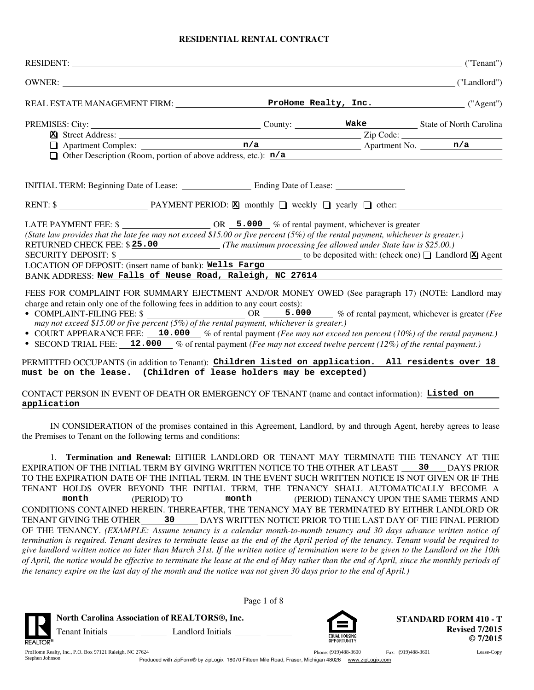# **RESIDENTIAL RENTAL CONTRACT**

|                                                                                                                                              | ("Tenant")                                                                                                                                                                                                                                                                                                                                                                                                                                                                                                                                                                                                                                                                                                                                                                                                                                                                                                                                                                                                                                                                                                                                                                                                                                                                                                                                                                                                                                                                      |
|----------------------------------------------------------------------------------------------------------------------------------------------|---------------------------------------------------------------------------------------------------------------------------------------------------------------------------------------------------------------------------------------------------------------------------------------------------------------------------------------------------------------------------------------------------------------------------------------------------------------------------------------------------------------------------------------------------------------------------------------------------------------------------------------------------------------------------------------------------------------------------------------------------------------------------------------------------------------------------------------------------------------------------------------------------------------------------------------------------------------------------------------------------------------------------------------------------------------------------------------------------------------------------------------------------------------------------------------------------------------------------------------------------------------------------------------------------------------------------------------------------------------------------------------------------------------------------------------------------------------------------------|
|                                                                                                                                              |                                                                                                                                                                                                                                                                                                                                                                                                                                                                                                                                                                                                                                                                                                                                                                                                                                                                                                                                                                                                                                                                                                                                                                                                                                                                                                                                                                                                                                                                                 |
|                                                                                                                                              |                                                                                                                                                                                                                                                                                                                                                                                                                                                                                                                                                                                                                                                                                                                                                                                                                                                                                                                                                                                                                                                                                                                                                                                                                                                                                                                                                                                                                                                                                 |
|                                                                                                                                              |                                                                                                                                                                                                                                                                                                                                                                                                                                                                                                                                                                                                                                                                                                                                                                                                                                                                                                                                                                                                                                                                                                                                                                                                                                                                                                                                                                                                                                                                                 |
|                                                                                                                                              |                                                                                                                                                                                                                                                                                                                                                                                                                                                                                                                                                                                                                                                                                                                                                                                                                                                                                                                                                                                                                                                                                                                                                                                                                                                                                                                                                                                                                                                                                 |
|                                                                                                                                              |                                                                                                                                                                                                                                                                                                                                                                                                                                                                                                                                                                                                                                                                                                                                                                                                                                                                                                                                                                                                                                                                                                                                                                                                                                                                                                                                                                                                                                                                                 |
|                                                                                                                                              |                                                                                                                                                                                                                                                                                                                                                                                                                                                                                                                                                                                                                                                                                                                                                                                                                                                                                                                                                                                                                                                                                                                                                                                                                                                                                                                                                                                                                                                                                 |
|                                                                                                                                              |                                                                                                                                                                                                                                                                                                                                                                                                                                                                                                                                                                                                                                                                                                                                                                                                                                                                                                                                                                                                                                                                                                                                                                                                                                                                                                                                                                                                                                                                                 |
|                                                                                                                                              |                                                                                                                                                                                                                                                                                                                                                                                                                                                                                                                                                                                                                                                                                                                                                                                                                                                                                                                                                                                                                                                                                                                                                                                                                                                                                                                                                                                                                                                                                 |
|                                                                                                                                              |                                                                                                                                                                                                                                                                                                                                                                                                                                                                                                                                                                                                                                                                                                                                                                                                                                                                                                                                                                                                                                                                                                                                                                                                                                                                                                                                                                                                                                                                                 |
|                                                                                                                                              |                                                                                                                                                                                                                                                                                                                                                                                                                                                                                                                                                                                                                                                                                                                                                                                                                                                                                                                                                                                                                                                                                                                                                                                                                                                                                                                                                                                                                                                                                 |
|                                                                                                                                              |                                                                                                                                                                                                                                                                                                                                                                                                                                                                                                                                                                                                                                                                                                                                                                                                                                                                                                                                                                                                                                                                                                                                                                                                                                                                                                                                                                                                                                                                                 |
|                                                                                                                                              |                                                                                                                                                                                                                                                                                                                                                                                                                                                                                                                                                                                                                                                                                                                                                                                                                                                                                                                                                                                                                                                                                                                                                                                                                                                                                                                                                                                                                                                                                 |
|                                                                                                                                              |                                                                                                                                                                                                                                                                                                                                                                                                                                                                                                                                                                                                                                                                                                                                                                                                                                                                                                                                                                                                                                                                                                                                                                                                                                                                                                                                                                                                                                                                                 |
|                                                                                                                                              |                                                                                                                                                                                                                                                                                                                                                                                                                                                                                                                                                                                                                                                                                                                                                                                                                                                                                                                                                                                                                                                                                                                                                                                                                                                                                                                                                                                                                                                                                 |
|                                                                                                                                              |                                                                                                                                                                                                                                                                                                                                                                                                                                                                                                                                                                                                                                                                                                                                                                                                                                                                                                                                                                                                                                                                                                                                                                                                                                                                                                                                                                                                                                                                                 |
|                                                                                                                                              |                                                                                                                                                                                                                                                                                                                                                                                                                                                                                                                                                                                                                                                                                                                                                                                                                                                                                                                                                                                                                                                                                                                                                                                                                                                                                                                                                                                                                                                                                 |
|                                                                                                                                              |                                                                                                                                                                                                                                                                                                                                                                                                                                                                                                                                                                                                                                                                                                                                                                                                                                                                                                                                                                                                                                                                                                                                                                                                                                                                                                                                                                                                                                                                                 |
|                                                                                                                                              |                                                                                                                                                                                                                                                                                                                                                                                                                                                                                                                                                                                                                                                                                                                                                                                                                                                                                                                                                                                                                                                                                                                                                                                                                                                                                                                                                                                                                                                                                 |
|                                                                                                                                              |                                                                                                                                                                                                                                                                                                                                                                                                                                                                                                                                                                                                                                                                                                                                                                                                                                                                                                                                                                                                                                                                                                                                                                                                                                                                                                                                                                                                                                                                                 |
|                                                                                                                                              |                                                                                                                                                                                                                                                                                                                                                                                                                                                                                                                                                                                                                                                                                                                                                                                                                                                                                                                                                                                                                                                                                                                                                                                                                                                                                                                                                                                                                                                                                 |
|                                                                                                                                              |                                                                                                                                                                                                                                                                                                                                                                                                                                                                                                                                                                                                                                                                                                                                                                                                                                                                                                                                                                                                                                                                                                                                                                                                                                                                                                                                                                                                                                                                                 |
|                                                                                                                                              |                                                                                                                                                                                                                                                                                                                                                                                                                                                                                                                                                                                                                                                                                                                                                                                                                                                                                                                                                                                                                                                                                                                                                                                                                                                                                                                                                                                                                                                                                 |
| LOCATION OF DEPOSIT: (insert name of bank): Wells Fargo<br>charge and retain only one of the following fees in addition to any court costs): | REAL ESTATE MANAGEMENT FIRM: ProHome Realty, Inc. ("Agent")<br>PREMISES: City: Cunty: County: County: Make State of North Carolina<br>Extreet Address: Cunty: County: Make State of North Carolina<br>County: County: Make State of North Carolina<br>Zip Code: The State of North Carolina<br>Apartm<br><b>D</b> Other Description (Room, portion of above address, etc.): $\frac{n}{a}$<br>(State law provides that the late fee may not exceed \$15.00 or five percent $(5\%)$ of the rental payment, whichever is greater.)<br>RETURNED CHECK FEE: \$25.00 (The maximum processing fee allowed under State law is \$25.00.)<br>SECURITY DEPOSIT: $\frac{1}{2}$ Agent<br>and the control of the control of the control of the control of the control of the control of the control of the<br>BANK ADDRESS: New Falls of Neuse Road, Raleigh, NC 27614<br>FEES FOR COMPLAINT FOR SUMMARY EJECTMENT AND/OR MONEY OWED (See paragraph 17) (NOTE: Landlord may<br>may not exceed \$15.00 or five percent $(5\%)$ of the rental payment, whichever is greater.)<br>• COURT APPEARANCE FEE: 10.000 % of rental payment (Fee may not exceed ten percent (10%) of the rental payment.)<br>• SECOND TRIAL FEE: 12.000 % of rental payment (Fee may not exceed twelve percent (12%) of the rental payment.)<br>PERMITTED OCCUPANTS (in addition to Tenant): Children listed on application. All residents over 18<br>must be on the lease. (Children of lease holders may be excepted) |

### CONTACT PERSON IN EVENT OF DEATH OR EMERGENCY OF TENANT (name and contact information): **Listed on application**

IN CONSIDERATION of the promises contained in this Agreement, Landlord, by and through Agent, hereby agrees to lease the Premises to Tenant on the following terms and conditions:

1. **Termination and Renewal:** EITHER LANDLORD OR TENANT MAY TERMINATE THE TENANCY AT THE TO THE EXPIRATION DATE OF THE INITIAL TERM. IN THE EVENT SUCH WRITTEN NOTICE IS NOT GIVEN OR IF THE TENANT HOLDS OVER BEYOND THE INITIAL TERM, THE TENANCY SHALL AUTOMATICALLY BECOME A month (PERIOD) TENANCY UPON THE SAME TERMS AND DAYS WRITTEN NOTICE PRIOR TO THE LAST DAY OF THE FINAL PERIOD OF THE TENANCY. *(EXAMPLE: Assume tenancy is a calendar month-to-month tenancy and 30 days advance written notice of* EXPIRATION OF THE INITIAL TERM BY GIVING WRITTEN NOTICE TO THE OTHER AT LEAST 30 DAYS PRIOR CONDITIONS CONTAINED HEREIN. THEREAFTER, THE TENANCY MAY BE TERMINATED BY EITHER LANDLORD OR TENANT GIVING THE OTHER *termination is required. Tenant desires to terminate lease as the end of the April period of the tenancy. Tenant would be required to give landlord written notice no later than March 31st. If the written notice of termination were to be given to the Landlord on the 10th of April, the notice would be effective to terminate the lease at the end of May rather than the end of April, since the monthly periods of the tenancy expire on the last day of the month and the notice was not given 30 days prior to the end of April.)* **30 month month 30**

| D |                        | North Carolina Association of REALTORS®, Inc. |
|---|------------------------|-----------------------------------------------|
|   | <b>Tenant Initials</b> | Landlord Initials                             |



Phone: (919)488-3600 Fax: (919)488-3601

**STANDARD FORM 410 - T Revised 7/2015 © 7/2015**

ProHome Realty, Inc., P.O. Box 97121 Raleigh, NC 27624 (2019) 28:3600 Fax: (919)488-3601 Lease-Copy Stephen Johnson

**REALTOR®** 

Produced with zipForm® by zipLogix 18070 Fifteen Mile Road, Fraser, Michigan 48026 www.zipLogix.com

Page 1 of 8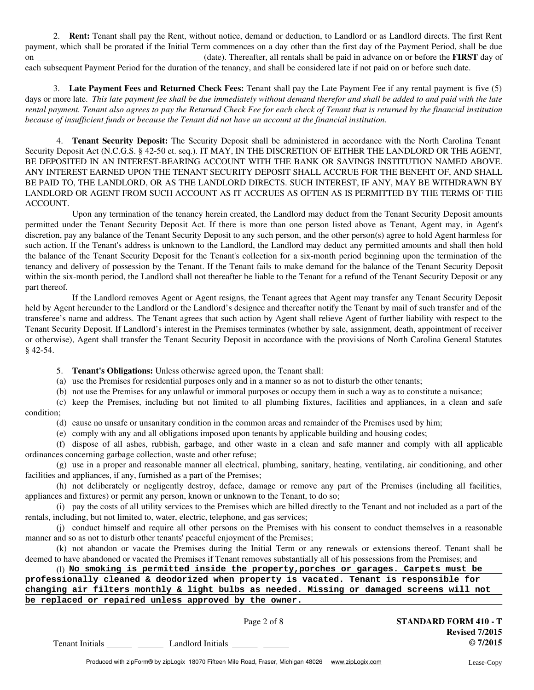2. **Rent:** Tenant shall pay the Rent, without notice, demand or deduction, to Landlord or as Landlord directs. The first Rent payment, which shall be prorated if the Initial Term commences on a day other than the first day of the Payment Period, shall be due on (date). Thereafter, all rentals shall be paid in advance on or before the **FIRST** day of each subsequent Payment Period for the duration of the tenancy, and shall be considered late if not paid on or before such date.

3. **Late Payment Fees and Returned Check Fees:** Tenant shall pay the Late Payment Fee if any rental payment is five (5) *rental payment. Tenant also agrees to pay the Returned Check Fee for each check of Tenant that is returned by the financial institution because of insufficient funds or because the Tenant did not have an account at the financial institution.* days or more late. *This late payment fee shall be due immediately without demand therefor and shall be added to and paid with the late*

4. **Tenant Security Deposit:** The Security Deposit shall be administered in accordance with the North Carolina Tenant Security Deposit Act (N.C.G.S. § 42-50 et. seq.). IT MAY, IN THE DISCRETION OF EITHER THE LANDLORD OR THE AGENT, BE DEPOSITED IN AN INTEREST-BEARING ACCOUNT WITH THE BANK OR SAVINGS INSTITUTION NAMED ABOVE. ANY INTEREST EARNED UPON THE TENANT SECURITY DEPOSIT SHALL ACCRUE FOR THE BENEFIT OF, AND SHALL BE PAID TO, THE LANDLORD, OR AS THE LANDLORD DIRECTS. SUCH INTEREST, IF ANY, MAY BE WITHDRAWN BY LANDLORD OR AGENT FROM SUCH ACCOUNT AS IT ACCRUES AS OFTEN AS IS PERMITTED BY THE TERMS OF THE ACCOUNT.

Upon any termination of the tenancy herein created, the Landlord may deduct from the Tenant Security Deposit amounts permitted under the Tenant Security Deposit Act. If there is more than one person listed above as Tenant, Agent may, in Agent's discretion, pay any balance of the Tenant Security Deposit to any such person, and the other person(s) agree to hold Agent harmless for such action. If the Tenant's address is unknown to the Landlord, the Landlord may deduct any permitted amounts and shall then hold the balance of the Tenant Security Deposit for the Tenant's collection for a six-month period beginning upon the termination of the tenancy and delivery of possession by the Tenant. If the Tenant fails to make demand for the balance of the Tenant Security Deposit within the six-month period, the Landlord shall not thereafter be liable to the Tenant for a refund of the Tenant Security Deposit or any part thereof.

If the Landlord removes Agent or Agent resigns, the Tenant agrees that Agent may transfer any Tenant Security Deposit held by Agent hereunder to the Landlord or the Landlord's designee and thereafter notify the Tenant by mail of such transfer and of the transferee's name and address. The Tenant agrees that such action by Agent shall relieve Agent of further liability with respect to the Tenant Security Deposit. If Landlord's interest in the Premises terminates (whether by sale, assignment, death, appointment of receiver or otherwise), Agent shall transfer the Tenant Security Deposit in accordance with the provisions of North Carolina General Statutes § 42-54.

5. **Tenant's Obligations:** Unless otherwise agreed upon, the Tenant shall:

(a) use the Premises for residential purposes only and in a manner so as not to disturb the other tenants;

(b) not use the Premises for any unlawful or immoral purposes or occupy them in such a way as to constitute a nuisance;

(c) keep the Premises, including but not limited to all plumbing fixtures, facilities and appliances, in a clean and safe condition;

(d) cause no unsafe or unsanitary condition in the common areas and remainder of the Premises used by him;

(e) comply with any and all obligations imposed upon tenants by applicable building and housing codes;

(f) dispose of all ashes, rubbish, garbage, and other waste in a clean and safe manner and comply with all applicable ordinances concerning garbage collection, waste and other refuse;

(g) use in a proper and reasonable manner all electrical, plumbing, sanitary, heating, ventilating, air conditioning, and other facilities and appliances, if any, furnished as a part of the Premises;

(h) not deliberately or negligently destroy, deface, damage or remove any part of the Premises (including all facilities, appliances and fixtures) or permit any person, known or unknown to the Tenant, to do so;

(i) pay the costs of all utility services to the Premises which are billed directly to the Tenant and not included as a part of the rentals, including, but not limited to, water, electric, telephone, and gas services;

(j) conduct himself and require all other persons on the Premises with his consent to conduct themselves in a reasonable manner and so as not to disturb other tenants' peaceful enjoyment of the Premises;

(k) not abandon or vacate the Premises during the Initial Term or any renewals or extensions thereof. Tenant shall be deemed to have abandoned or vacated the Premises if Tenant removes substantially all of his possessions from the Premises; and

(l) **No smoking is permitted inside the property,porches or garages. Carpets must be**

**professionally cleaned & deodorized when property is vacated. Tenant is responsible for**

**changing air filters monthly & light bulbs as needed. Missing or damaged screens will not be replaced or repaired unless approved by the owner.**

Page 2 of 8 **STANDARD FORM 410 - T Revised 7/2015 © 7/2015** Tenant Initials Landlord Initials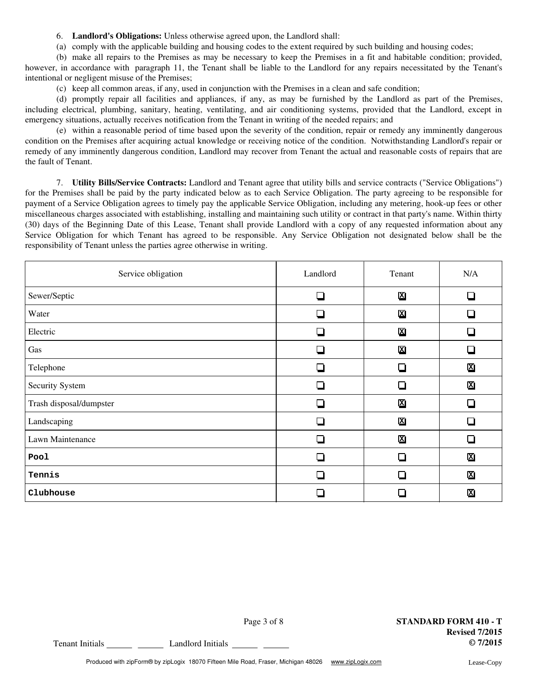6. **Landlord's Obligations:** Unless otherwise agreed upon, the Landlord shall:

(a) comply with the applicable building and housing codes to the extent required by such building and housing codes;

(b) make all repairs to the Premises as may be necessary to keep the Premises in a fit and habitable condition; provided, however, in accordance with paragraph 11, the Tenant shall be liable to the Landlord for any repairs necessitated by the Tenant's intentional or negligent misuse of the Premises;

(c) keep all common areas, if any, used in conjunction with the Premises in a clean and safe condition;

(d) promptly repair all facilities and appliances, if any, as may be furnished by the Landlord as part of the Premises, including electrical, plumbing, sanitary, heating, ventilating, and air conditioning systems, provided that the Landlord, except in emergency situations, actually receives notification from the Tenant in writing of the needed repairs; and

(e) within a reasonable period of time based upon the severity of the condition, repair or remedy any imminently dangerous condition on the Premises after acquiring actual knowledge or receiving notice of the condition. Notwithstanding Landlord's repair or remedy of any imminently dangerous condition, Landlord may recover from Tenant the actual and reasonable costs of repairs that are the fault of Tenant.

7. **Utility Bills/Service Contracts:** Landlord and Tenant agree that utility bills and service contracts ("Service Obligations") for the Premises shall be paid by the party indicated below as to each Service Obligation. The party agreeing to be responsible for payment of a Service Obligation agrees to timely pay the applicable Service Obligation, including any metering, hook-up fees or other miscellaneous charges associated with establishing, installing and maintaining such utility or contract in that party's name. Within thirty (30) days of the Beginning Date of this Lease, Tenant shall provide Landlord with a copy of any requested information about any Service Obligation for which Tenant has agreed to be responsible. Any Service Obligation not designated below shall be the responsibility of Tenant unless the parties agree otherwise in writing.

| Service obligation      | Landlord      | Tenant                   | N/A                     |
|-------------------------|---------------|--------------------------|-------------------------|
| Sewer/Septic            | $\sim$        | 図                        | □                       |
| Water                   |               | 図                        |                         |
| Electric                | $\mathcal{L}$ | 図                        |                         |
| Gas                     |               | 図                        |                         |
| Telephone               |               | $\overline{\phantom{a}}$ | 図                       |
| Security System         |               |                          | 図                       |
| Trash disposal/dumpster |               | 図                        |                         |
| Landscaping             | n.            | 図                        |                         |
| Lawn Maintenance        |               | 図                        |                         |
| Pool                    |               |                          | 図                       |
| Tennis                  |               |                          | $\overline{\mathbf{x}}$ |
| Clubhouse               |               |                          | 図                       |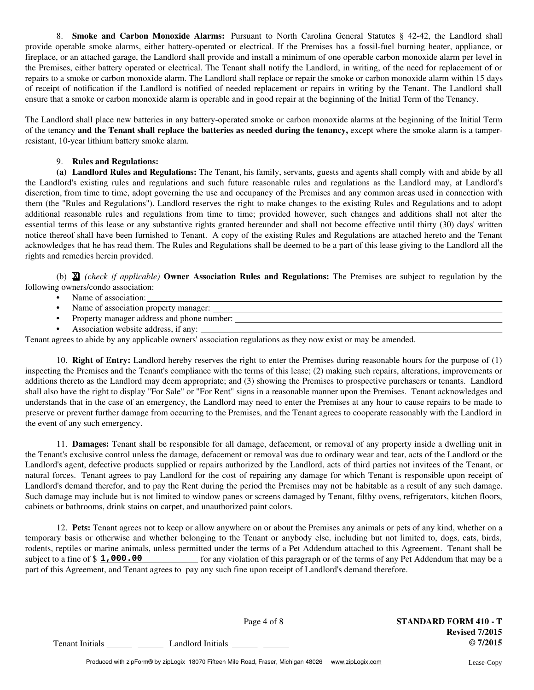8. **Smoke and Carbon Monoxide Alarms:** Pursuant to North Carolina General Statutes § 42-42, the Landlord shall provide operable smoke alarms, either battery-operated or electrical. If the Premises has a fossil-fuel burning heater, appliance, or fireplace, or an attached garage, the Landlord shall provide and install a minimum of one operable carbon monoxide alarm per level in the Premises, either battery operated or electrical. The Tenant shall notify the Landlord, in writing, of the need for replacement of or repairs to a smoke or carbon monoxide alarm. The Landlord shall replace or repair the smoke or carbon monoxide alarm within 15 days of receipt of notification if the Landlord is notified of needed replacement or repairs in writing by the Tenant. The Landlord shall ensure that a smoke or carbon monoxide alarm is operable and in good repair at the beginning of the Initial Term of the Tenancy.

The Landlord shall place new batteries in any battery-operated smoke or carbon monoxide alarms at the beginning of the Initial Term of the tenancy **and the Tenant shall replace the batteries as needed during the tenancy,** except where the smoke alarm is a tamperresistant, 10-year lithium battery smoke alarm.

# 9. **Rules and Regulations:**

the Landlord's existing rules and regulations and such future reasonable rules and regulations as the Landlord may, at Landlord's discretion, from time to time, adopt governing the use and occupancy of the Premises and any common areas used in connection with them (the "Rules and Regulations"). Landlord reserves the right to make changes to the existing Rules and Regulations and to adopt additional reasonable rules and regulations from time to time; provided however, such changes and additions shall not alter the essential terms of this lease or any substantive rights granted hereunder and shall not become effective until thirty (30) days' written notice thereof shall have been furnished to Tenant. A copy of the existing Rules and Regulations are attached hereto and the Tenant acknowledges that he has read them. The Rules and Regulations shall be deemed to be a part of this lease giving to the Landlord all the rights and remedies herein provided. **(a) Landlord Rules and Regulations:** The Tenant, his family, servants, guests and agents shall comply with and abide by all

(b) *(check if applicable)* **Owner Association Rules and Regulations:** The Premises are subject to regulation by the **X** following owners/condo association:

- **•** Name of association:
- **•** Name of association property manager:
- **•** Property manager address and phone number:
- **•** Association website address, if any:

Tenant agrees to abide by any applicable owners' association regulations as they now exist or may be amended.

10. **Right of Entry:** Landlord hereby reserves the right to enter the Premises during reasonable hours for the purpose of (1) inspecting the Premises and the Tenant's compliance with the terms of this lease; (2) making such repairs, alterations, improvements or additions thereto as the Landlord may deem appropriate; and (3) showing the Premises to prospective purchasers or tenants. Landlord shall also have the right to display "For Sale" or "For Rent" signs in a reasonable manner upon the Premises. Tenant acknowledges and understands that in the case of an emergency, the Landlord may need to enter the Premises at any hour to cause repairs to be made to preserve or prevent further damage from occurring to the Premises, and the Tenant agrees to cooperate reasonably with the Landlord in the event of any such emergency.

11. **Damages:** Tenant shall be responsible for all damage, defacement, or removal of any property inside a dwelling unit in the Tenant's exclusive control unless the damage, defacement or removal was due to ordinary wear and tear, acts of the Landlord or the Landlord's agent, defective products supplied or repairs authorized by the Landlord, acts of third parties not invitees of the Tenant, or natural forces. Tenant agrees to pay Landlord for the cost of repairing any damage for which Tenant is responsible upon receipt of Landlord's demand therefor, and to pay the Rent during the period the Premises may not be habitable as a result of any such damage. Such damage may include but is not limited to window panes or screens damaged by Tenant, filthy ovens, refrigerators, kitchen floors, cabinets or bathrooms, drink stains on carpet, and unauthorized paint colors.

12. **Pets:** Tenant agrees not to keep or allow anywhere on or about the Premises any animals or pets of any kind, whether on a temporary basis or otherwise and whether belonging to the Tenant or anybody else, including but not limited to, dogs, cats, birds, rodents, reptiles or marine animals, unless permitted under the terms of a Pet Addendum attached to this Agreement. Tenant shall be subject to a fine of  $\frac{1}{2}$ , 000.00 for any violation of this paragraph or of the terms of any Pet Addendum that may be a part of this Agreement, and Tenant agrees to pay any such fine upon receipt of Landlord's demand therefore.

Tenant Initials **COLLECT** Contact Landlord Initials **COLLECT** COLLECTIVE CONTACT **COLLECT** CONTACT CONTACT CONTACT CONTACT CONTACT CONTACT CONTACT CONTACT CONTACT CONTACT CONTACT CONTACT CONTACT CONTACT CONTACT CONTACT CON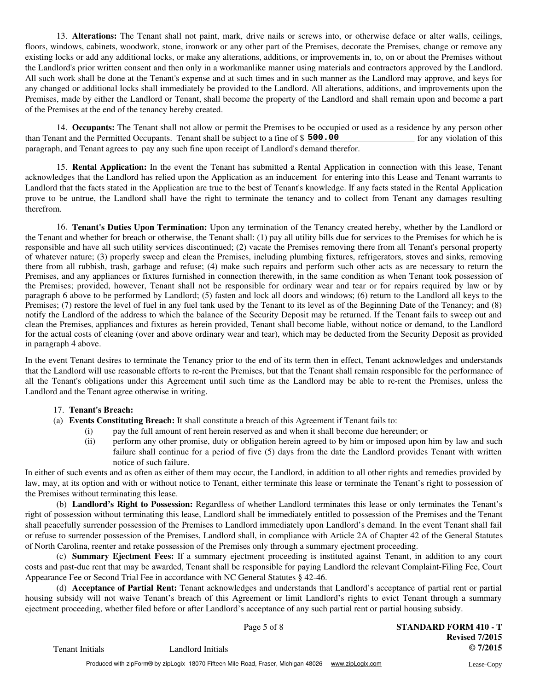13. **Alterations:** The Tenant shall not paint, mark, drive nails or screws into, or otherwise deface or alter walls, ceilings, floors, windows, cabinets, woodwork, stone, ironwork or any other part of the Premises, decorate the Premises, change or remove any existing locks or add any additional locks, or make any alterations, additions, or improvements in, to, on or about the Premises without the Landlord's prior written consent and then only in a workmanlike manner using materials and contractors approved by the Landlord. All such work shall be done at the Tenant's expense and at such times and in such manner as the Landlord may approve, and keys for any changed or additional locks shall immediately be provided to the Landlord. All alterations, additions, and improvements upon the Premises, made by either the Landlord or Tenant, shall become the property of the Landlord and shall remain upon and become a part of the Premises at the end of the tenancy hereby created.

14. **Occupants:** The Tenant shall not allow or permit the Premises to be occupied or used as a residence by any person other than Tenant and the Permitted Occupants. Tenant shall be subject to a fine of \$ **500.00** paragraph, and Tenant agrees to pay any such fine upon receipt of Landlord's demand therefor. for any violation of this

15. **Rental Application:** In the event the Tenant has submitted a Rental Application in connection with this lease, Tenant acknowledges that the Landlord has relied upon the Application as an inducement for entering into this Lease and Tenant warrants to Landlord that the facts stated in the Application are true to the best of Tenant's knowledge. If any facts stated in the Rental Application prove to be untrue, the Landlord shall have the right to terminate the tenancy and to collect from Tenant any damages resulting therefrom.

16. **Tenant's Duties Upon Termination:** Upon any termination of the Tenancy created hereby, whether by the Landlord or the Tenant and whether for breach or otherwise, the Tenant shall: (1) pay all utility bills due for services to the Premises for which he is responsible and have all such utility services discontinued; (2) vacate the Premises removing there from all Tenant's personal property of whatever nature; (3) properly sweep and clean the Premises, including plumbing fixtures, refrigerators, stoves and sinks, removing there from all rubbish, trash, garbage and refuse; (4) make such repairs and perform such other acts as are necessary to return the Premises, and any appliances or fixtures furnished in connection therewith, in the same condition as when Tenant took possession of the Premises; provided, however, Tenant shall not be responsible for ordinary wear and tear or for repairs required by law or by paragraph 6 above to be performed by Landlord; (5) fasten and lock all doors and windows; (6) return to the Landlord all keys to the Premises; (7) restore the level of fuel in any fuel tank used by the Tenant to its level as of the Beginning Date of the Tenancy; and (8) notify the Landlord of the address to which the balance of the Security Deposit may be returned. If the Tenant fails to sweep out and clean the Premises, appliances and fixtures as herein provided, Tenant shall become liable, without notice or demand, to the Landlord for the actual costs of cleaning (over and above ordinary wear and tear), which may be deducted from the Security Deposit as provided in paragraph 4 above.

In the event Tenant desires to terminate the Tenancy prior to the end of its term then in effect, Tenant acknowledges and understands that the Landlord will use reasonable efforts to re-rent the Premises, but that the Tenant shall remain responsible for the performance of all the Tenant's obligations under this Agreement until such time as the Landlord may be able to re-rent the Premises, unless the Landlord and the Tenant agree otherwise in writing.

### 17. **Tenant's Breach:**

- (a) **Events Constituting Breach:** It shall constitute a breach of this Agreement if Tenant fails to:
	- (i) pay the full amount of rent herein reserved as and when it shall become due hereunder; or
	- perform any other promise, duty or obligation herein agreed to by him or imposed upon him by law and such failure shall continue for a period of five (5) days from the date the Landlord provides Tenant with written notice of such failure. (ii)

In either of such events and as often as either of them may occur, the Landlord, in addition to all other rights and remedies provided by law, may, at its option and with or without notice to Tenant, either terminate this lease or terminate the Tenant's right to possession of the Premises without terminating this lease.

(b) **Landlord's Right to Possession:** Regardless of whether Landlord terminates this lease or only terminates the Tenant's right of possession without terminating this lease, Landlord shall be immediately entitled to possession of the Premises and the Tenant shall peacefully surrender possession of the Premises to Landlord immediately upon Landlord's demand. In the event Tenant shall fail or refuse to surrender possession of the Premises, Landlord shall, in compliance with Article 2A of Chapter 42 of the General Statutes of North Carolina, reenter and retake possession of the Premises only through a summary ejectment proceeding.

(c) **Summary Ejectment Fees:** If a summary ejectment proceeding is instituted against Tenant, in addition to any court costs and past-due rent that may be awarded, Tenant shall be responsible for paying Landlord the relevant Complaint-Filing Fee, Court Appearance Fee or Second Trial Fee in accordance with NC General Statutes § 42-46.

(d) **Acceptance of Partial Rent:** Tenant acknowledges and understands that Landlord's acceptance of partial rent or partial housing subsidy will not waive Tenant's breach of this Agreement or limit Landlord's rights to evict Tenant through a summary ejectment proceeding, whether filed before or after Landlord's acceptance of any such partial rent or partial housing subsidy.

|                        | Page 5 of 8       |  |  | <b>STANDARD FORM 410 - T</b> |
|------------------------|-------------------|--|--|------------------------------|
|                        |                   |  |  | <b>Revised 7/2015</b>        |
| <b>Tenant Initials</b> | Landlord Initials |  |  | $Q$ 7/2015                   |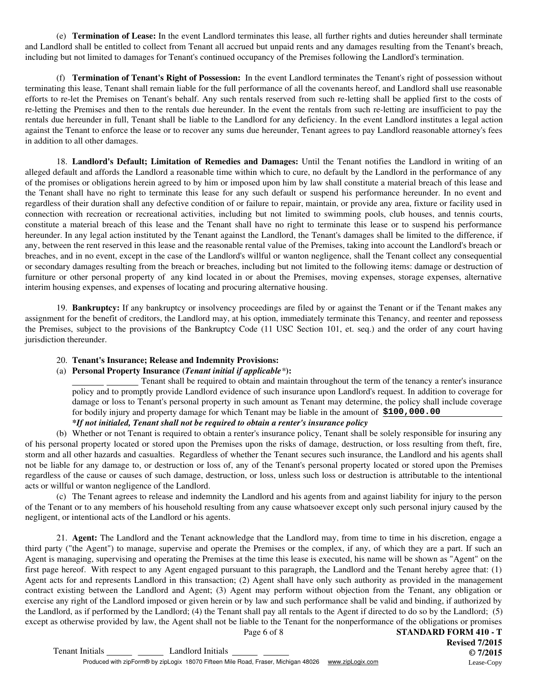(e) **Termination of Lease:** In the event Landlord terminates this lease, all further rights and duties hereunder shall terminate and Landlord shall be entitled to collect from Tenant all accrued but unpaid rents and any damages resulting from the Tenant's breach, including but not limited to damages for Tenant's continued occupancy of the Premises following the Landlord's termination.

(f) **Termination of Tenant's Right of Possession:** In the event Landlord terminates the Tenant's right of possession without terminating this lease, Tenant shall remain liable for the full performance of all the covenants hereof, and Landlord shall use reasonable efforts to re-let the Premises on Tenant's behalf. Any such rentals reserved from such re-letting shall be applied first to the costs of re-letting the Premises and then to the rentals due hereunder. In the event the rentals from such re-letting are insufficient to pay the rentals due hereunder in full, Tenant shall be liable to the Landlord for any deficiency. In the event Landlord institutes a legal action against the Tenant to enforce the lease or to recover any sums due hereunder, Tenant agrees to pay Landlord reasonable attorney's fees in addition to all other damages.

18. **Landlord's Default; Limitation of Remedies and Damages:** Until the Tenant notifies the Landlord in writing of an alleged default and affords the Landlord a reasonable time within which to cure, no default by the Landlord in the performance of any of the promises or obligations herein agreed to by him or imposed upon him by law shall constitute a material breach of this lease and the Tenant shall have no right to terminate this lease for any such default or suspend his performance hereunder. In no event and regardless of their duration shall any defective condition of or failure to repair, maintain, or provide any area, fixture or facility used in connection with recreation or recreational activities, including but not limited to swimming pools, club houses, and tennis courts, constitute a material breach of this lease and the Tenant shall have no right to terminate this lease or to suspend his performance hereunder. In any legal action instituted by the Tenant against the Landlord, the Tenant's damages shall be limited to the difference, if any, between the rent reserved in this lease and the reasonable rental value of the Premises, taking into account the Landlord's breach or breaches, and in no event, except in the case of the Landlord's willful or wanton negligence, shall the Tenant collect any consequential or secondary damages resulting from the breach or breaches, including but not limited to the following items: damage or destruction of furniture or other personal property of any kind located in or about the Premises, moving expenses, storage expenses, alternative interim housing expenses, and expenses of locating and procuring alternative housing.

19. **Bankruptcy:** If any bankruptcy or insolvency proceedings are filed by or against the Tenant or if the Tenant makes any assignment for the benefit of creditors, the Landlord may, at his option, immediately terminate this Tenancy, and reenter and repossess the Premises, subject to the provisions of the Bankruptcy Code (11 USC Section 101, et. seq.) and the order of any court having jurisdiction thereunder.

### 20. **Tenant's Insurance; Release and Indemnity Provisions:**

#### (a) **Personal Property Insurance (***Tenant initial if applicable\****):**

Tenant shall be required to obtain and maintain throughout the term of the tenancy a renter's insurance policy and to promptly provide Landlord evidence of such insurance upon Landlord's request. In addition to coverage for damage or loss to Tenant's personal property in such amount as Tenant may determine, the policy shall include coverage for bodily injury and property damage for which Tenant may be liable in the amount of **\$100,000.00**

# *\*If not initialed, Tenant shall not be required to obtain a renter's insurance policy*

of his personal property located or stored upon the Premises upon the risks of damage, destruction, or loss resulting from theft, fire, storm and all other hazards and casualties. Regardless of whether the Tenant secures such insurance, the Landlord and his agents shall not be liable for any damage to, or destruction or loss of, any of the Tenant's personal property located or stored upon the Premises regardless of the cause or causes of such damage, destruction, or loss, unless such loss or destruction is attributable to the intentional acts or willful or wanton negligence of the Landlord. (b) Whether or not Tenant is required to obtain a renter's insurance policy, Tenant shall be solely responsible for insuring any

(c) The Tenant agrees to release and indemnity the Landlord and his agents from and against liability for injury to the person of the Tenant or to any members of his household resulting from any cause whatsoever except only such personal injury caused by the negligent, or intentional acts of the Landlord or his agents.

Page 6 of 8 **STANDARD FORM 410 - T** 21. **Agent:** The Landlord and the Tenant acknowledge that the Landlord may, from time to time in his discretion, engage a third party ("the Agent") to manage, supervise and operate the Premises or the complex, if any, of which they are a part. If such an Agent is managing, supervising and operating the Premises at the time this lease is executed, his name will be shown as "Agent" on the first page hereof. With respect to any Agent engaged pursuant to this paragraph, the Landlord and the Tenant hereby agree that: (1) Agent acts for and represents Landlord in this transaction; (2) Agent shall have only such authority as provided in the management contract existing between the Landlord and Agent; (3) Agent may perform without objection from the Tenant, any obligation or exercise any right of the Landlord imposed or given herein or by law and such performance shall be valid and binding, if authorized by the Landlord, as if performed by the Landlord; (4) the Tenant shall pay all rentals to the Agent if directed to do so by the Landlord; (5) except as otherwise provided by law, the Agent shall not be liable to the Tenant for the nonperformance of the obligations or promises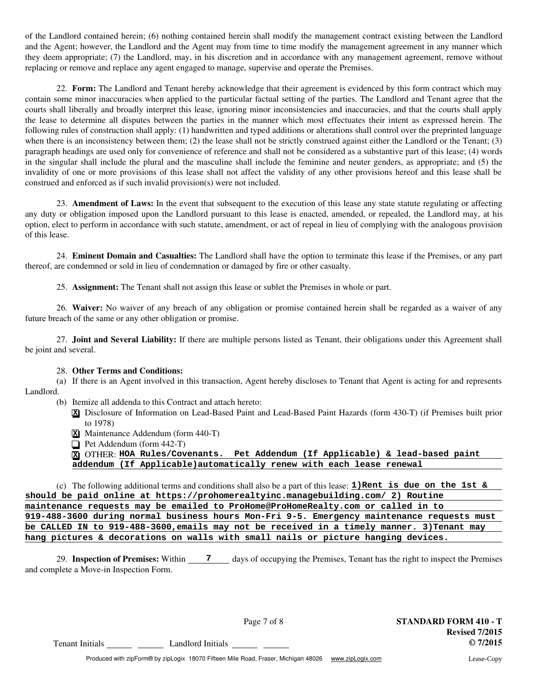of the Landlord contained herein; (6) nothing contained herein shall modify the management contract existing between the Landlord and the Agent; however, the Landlord and the Agent may from time to time modify the management agreement in any manner which they deem appropriate; (7) the Landlord, may, in his discretion and in accordance with any management agreement, remove without replacing or remove and replace any agent engaged to manage, supervise and operate the Premises.

22. **Form:** The Landlord and Tenant hereby acknowledge that their agreement is evidenced by this form contract which may contain some minor inaccuracies when applied to the particular factual setting of the parties. The Landlord and Tenant agree that the courts shall liberally and broadly interpret this lease, ignoring minor inconsistencies and inaccuracies, and that the courts shall apply the lease to determine all disputes between the parties in the manner which most effectuates their intent as expressed herein. The following rules of construction shall apply: (1) handwritten and typed additions or alterations shall control over the preprinted language when there is an inconsistency between them; (2) the lease shall not be strictly construed against either the Landlord or the Tenant; (3) paragraph headings are used only for convenience of reference and shall not be considered as a substantive part of this lease; (4) words in the singular shall include the plural and the masculine shall include the feminine and neuter genders, as appropriate; and (5) the invalidity of one or more provisions of this lease shall not affect the validity of any other provisions hereof and this lease shall be construed and enforced as if such invalid provision(s) were not included.

23. **Amendment of Laws:** In the event that subsequent to the execution of this lease any state statute regulating or affecting any duty or obligation imposed upon the Landlord pursuant to this lease is enacted, amended, or repealed, the Landlord may, at his option, elect to perform in accordance with such statute, amendment, or act of repeal in lieu of complying with the analogous provision of this lease.

24. **Eminent Domain and Casualties:** The Landlord shall have the option to terminate this lease if the Premises, or any part thereof, are condemned or sold in lieu of condemnation or damaged by fire or other casualty.

25. **Assignment:** The Tenant shall not assign this lease or sublet the Premises in whole or part.

26. **Waiver:** No waiver of any breach of any obligation or promise contained herein shall be regarded as a waiver of any future breach of the same or any other obligation or promise.

27. **Joint and Several Liability:** If there are multiple persons listed as Tenant, their obligations under this Agreement shall be joint and several.

### 28. **Other Terms and Conditions:**

(a) If there is an Agent involved in this transaction, Agent hereby discloses to Tenant that Agent is acting for and represents Landlord.

- (b) Itemize all addenda to this Contract and attach hereto:
	- Disclosure of Information on Lead-Based Paint and Lead-Based Paint Hazards (form 430-T) (if Premises built prior **X** to 1978)
	- Maintenance Addendum (form 440-T) **X**
	- Pet Addendum (form 442-T)

OTHER: **X HOA Rules/Covenants. Pet Addendum (If Applicable) & lead-based paint addendum (If Applicable)automatically renew with each lease renewal**

(c) The following additional terms and conditions shall also be a part of this lease: **1)Rent is due on the 1st & should be paid online at https://prohomerealtyinc.managebuilding.com/ 2) Routine maintenance requests may be emailed to ProHome@ProHomeRealty.com or called in to 919-488-3600 during normal business hours Mon-Fri 9-5. Emergency maintenance requests must be CALLED IN to 919-488-3600,emails may not be received in a timely manner. 3)Tenant may hang pictures & decorations on walls with small nails or picture hanging devices.**

29. Inspection of Premises: Within \_\_\_\_\_7 \_\_\_\_ days of occupying the Premises, Tenant has the right to inspect the Premises and complete a Move-in Inspection Form.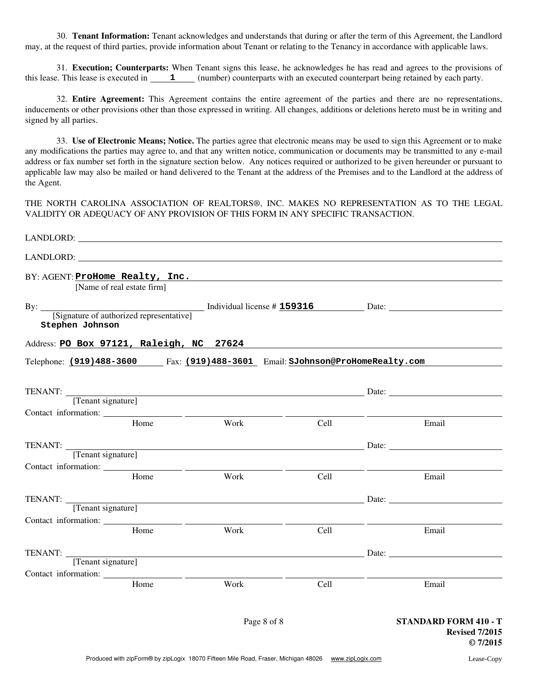30. **Tenant Information:** Tenant acknowledges and understands that during or after the term of this Agreement, the Landlord may, at the request of third parties, provide information about Tenant or relating to the Tenancy in accordance with applicable laws.

31. **Execution; Counterparts:** When Tenant signs this lease, he acknowledges he has read and agrees to the provisions of this lease. This lease is executed in  $\qquad 1 \qquad \qquad$  (number) counterparts with an executed counterpart being retained by each party.

32. **Entire Agreement:** This Agreement contains the entire agreement of the parties and there are no representations, inducements or other provisions other than those expressed in writing. All changes, additions or deletions hereto must be in writing and signed by all parties.

33. **Use of Electronic Means; Notice.** The parties agree that electronic means may be used to sign this Agreement or to make any modifications the parties may agree to, and that any written notice, communication or documents may be transmitted to any e-mail address or fax number set forth in the signature section below. Any notices required or authorized to be given hereunder or pursuant to applicable law may also be mailed or hand delivered to the Tenant at the address of the Premises and to the Landlord at the address of the Agent.

THE NORTH CAROLINA ASSOCIATION OF REALTORS®, INC. MAKES NO REPRESENTATION AS TO THE LEGAL VALIDITY OR ADEQUACY OF ANY PROVISION OF THIS FORM IN ANY SPECIFIC TRANSACTION.

|                 | [Name of real estate firm] | BY: AGENT: ProHome Realty, Inc.                                                                                                                                                                                                |      |                                                                     |
|-----------------|----------------------------|--------------------------------------------------------------------------------------------------------------------------------------------------------------------------------------------------------------------------------|------|---------------------------------------------------------------------|
| Stephen Johnson |                            | By: <u>[Signature of authorized representative]</u> Individual license # 159316 Date: <u>[Signature of authorized representative]</u>                                                                                          |      |                                                                     |
|                 |                            | Address: PO Box 97121, Raleigh, NC 27624                                                                                                                                                                                       |      |                                                                     |
|                 |                            | Telephone: (919)488-3600 Fax: (919)488-3601 Email: SJohnson@ProHomeRealty.com                                                                                                                                                  |      |                                                                     |
|                 |                            | TENANT: Tenant signature] Date: <u>Tenant signature</u>                                                                                                                                                                        |      |                                                                     |
|                 |                            |                                                                                                                                                                                                                                |      |                                                                     |
|                 | Home                       | Work                                                                                                                                                                                                                           | Cell | Email                                                               |
|                 |                            | TENANT: TENANT: TENANT: TENANT: TENANT: TENANT: TENANT: TENANT: TENANT: TENANT: TENANT: TENANT: TENANT: TENANT: TENANT: TENANT: TENANT: TENANT: TENANT: TENANT: TENANT: TENANT: TENANT: TENANT: TENANT: TENANT: TENANT: TENANT |      |                                                                     |
|                 |                            |                                                                                                                                                                                                                                |      |                                                                     |
|                 | Home                       | Work                                                                                                                                                                                                                           | Cell | Email                                                               |
|                 |                            | TENANT: TENANT: Tenant signature]                                                                                                                                                                                              |      |                                                                     |
|                 | Home                       | Work                                                                                                                                                                                                                           | Cell | Email                                                               |
|                 |                            | TENANT: TENANT: TENANT: TENANT: TENANT: TENANT: TENANT: TENANT: TENANT: TENANT: TENANT: TENANT: TENANT: TENANT: TENANT: TENANT: TENANT: TENANT: TENANT: TENANT: TENANT: TENANT: TENANT: TENANT: TENANT: TENANT: TENANT: TENANT |      |                                                                     |
|                 |                            |                                                                                                                                                                                                                                |      |                                                                     |
|                 | Home                       | Work                                                                                                                                                                                                                           | Cell | Email                                                               |
|                 |                            | Page 8 of 8                                                                                                                                                                                                                    |      | <b>STANDARD FORM 410 - T</b><br><b>Revised 7/2015</b><br>$Q$ 7/2015 |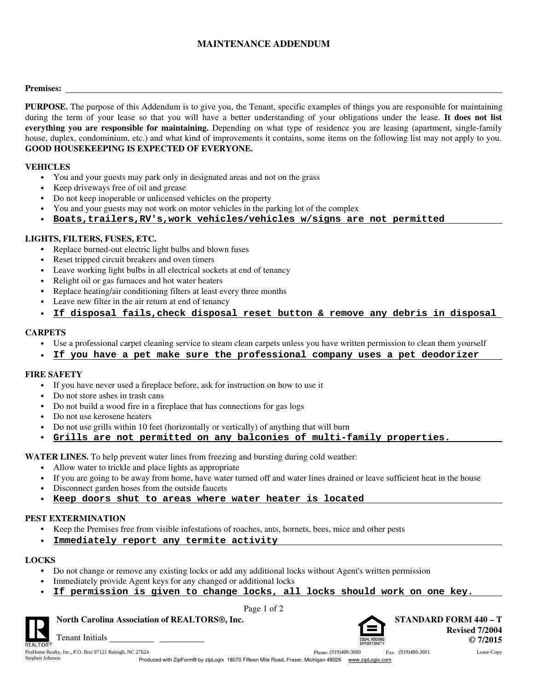# **MAINTENANCE ADDENDUM**

#### **Premises:**

**PURPOSE.** The purpose of this Addendum is to give you, the Tenant, specific examples of things you are responsible for maintaining during the term of your lease so that you will have a better understanding of your obligations under the lease. **It does not list everything you are responsible for maintaining.** Depending on what type of residence you are leasing (apartment, single-family house, duplex, condominium, etc.) and what kind of improvements it contains, some items on the following list may not apply to you. **GOOD HOUSEKEEPING IS EXPECTED OF EVERYONE.**

#### **VEHICLES**

- **•** You and your guests may park only in designated areas and not on the grass
- **•** Keep driveways free of oil and grease
- **•** Do not keep inoperable or unlicensed vehicles on the property
- **•** You and your guests may not work on motor vehicles in the parking lot of the complex
- **• Boats,trailers,RV's,work vehicles/vehicles w/signs are not permitted**

### **LIGHTS, FILTERS, FUSES, ETC.**

- **•** Replace burned-out electric light bulbs and blown fuses
- **•** Reset tripped circuit breakers and oven timers
- **•** Leave working light bulbs in all electrical sockets at end of tenancy
- **•** Relight oil or gas furnaces and hot water heaters
- **•** Replace heating/air conditioning filters at least every three months
- **•** Leave new filter in the air return at end of tenancy
- **• If disposal fails,check disposal reset button & remove any debris in disposal**

### **CARPETS**

- **•** Use a professional carpet cleaning service to steam clean carpets unless you have written permission to clean them yourself
- **• If you have a pet make sure the professional company uses a pet deodorizer**

# **FIRE SAFETY**

- **•** If you have never used a fireplace before, ask for instruction on how to use it
- **•** Do not store ashes in trash cans
- **•** Do not build a wood fire in a fireplace that has connections for gas logs
- **•** Do not use kerosene heaters
- Do not use grills within 10 feet (horizontally or vertically) of anything that will burn
- **• Grills are not permitted on any balconies of multi-family properties.**

**WATER LINES.** To help prevent water lines from freezing and bursting during cold weather:

- **•** Allow water to trickle and place lights as appropriate
- **•** If you are going to be away from home, have water turned off and water lines drained or leave sufficient heat in the house
- **•** Disconnect garden hoses from the outside faucets
- **• Keep doors shut to areas where water heater is located**

### **PEST EXTERMINATION**

- **•** Keep the Premises free from visible infestations of roaches, ants, hornets, bees, mice and other pests
	- **Immediately report any termite activity**

### **LOCKS**

**•**

- **•** Do not change or remove any existing locks or add any additional locks without Agent's written permission
- **•** Immediately provide Agent keys for any changed or additional locks
- **• If permission is given to change locks, all locks should work on one key.**

Page 1 of 2



Phone: (919)488-3600 Fax: (919)488-3601

**North Carolina Association of REALTORS®, Inc. STANDARD FORM 440 – T Revised 7/2004 © 7/2015**



Stephen Johnson

Tenant Initials ProHome Realty, Inc., P.O. Box 97121 Raleigh, NC 27624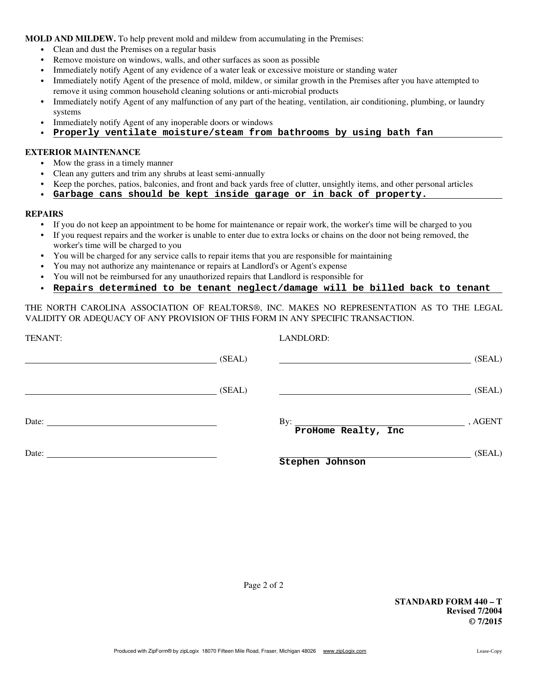**MOLD AND MILDEW.** To help prevent mold and mildew from accumulating in the Premises:

- **•** Clean and dust the Premises on a regular basis
- **•** Remove moisture on windows, walls, and other surfaces as soon as possible
- **•** Immediately notify Agent of any evidence of a water leak or excessive moisture or standing water
- **•** Immediately notify Agent of the presence of mold, mildew, or similar growth in the Premises after you have attempted to remove it using common household cleaning solutions or anti-microbial products
- **•** Immediately notify Agent of any malfunction of any part of the heating, ventilation, air conditioning, plumbing, or laundry systems
- **•** Immediately notify Agent of any inoperable doors or windows
- **• Properly ventilate moisture/steam from bathrooms by using bath fan**

#### **EXTERIOR MAINTENANCE**

- Mow the grass in a timely manner
- **•** Clean any gutters and trim any shrubs at least semi-annually
- **•** Keep the porches, patios, balconies, and front and back yards free of clutter, unsightly items, and other personal articles
- **• Garbage cans should be kept inside garage or in back of property.**

#### **REPAIRS**

- **•** If you do not keep an appointment to be home for maintenance or repair work, the worker's time will be charged to you
- **•** If you request repairs and the worker is unable to enter due to extra locks or chains on the door not being removed, the worker's time will be charged to you
- **•** You will be charged for any service calls to repair items that you are responsible for maintaining
- You may not authorize any maintenance or repairs at Landlord's or Agent's expense **•**
- **•** You will not be reimbursed for any unauthorized repairs that Landlord is responsible for
- **• Repairs determined to be tenant neglect/damage will be billed back to tenant**

THE NORTH CAROLINA ASSOCIATION OF REALTORS®, INC. MAKES NO REPRESENTATION AS TO THE LEGAL VALIDITY OR ADEQUACY OF ANY PROVISION OF THIS FORM IN ANY SPECIFIC TRANSACTION.

| TENANT: |        | LANDLORD:                                  |         |
|---------|--------|--------------------------------------------|---------|
|         | (SEAL) |                                            | (SEAL)  |
|         | (SEAL) |                                            | (SEAL)  |
|         |        | By: $\qquad \qquad$<br>ProHome Realty, Inc | , AGENT |
| Date:   |        | Stephen Johnson                            | (SEAL)  |

**STANDARD FORM 440 – T Revised 7/2004 © 7/2015**